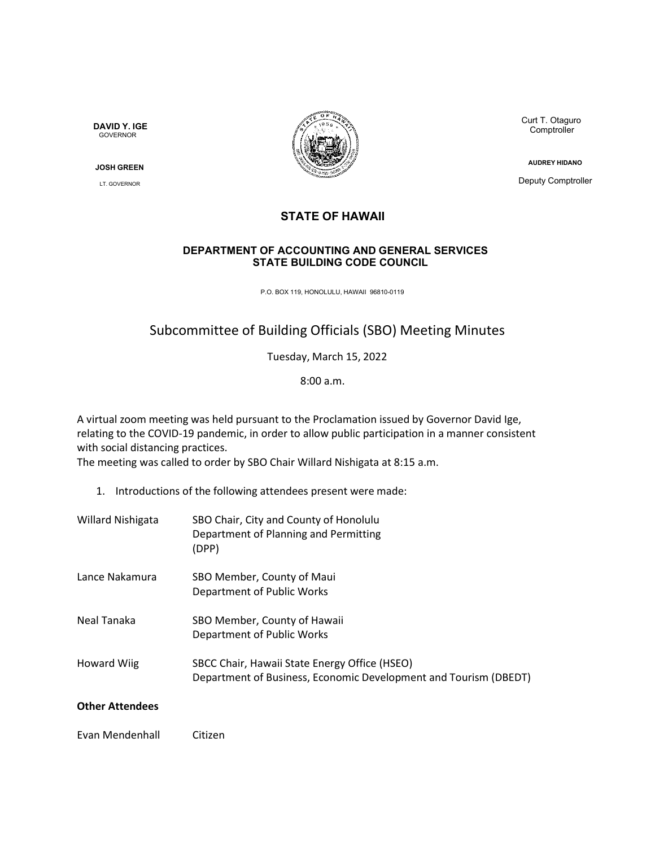**DAVID Y. IGE** GOVERNOR

**JOSH GREEN**

LT. GOVERNOR



Curt T. Otaguro **Comptroller** 

**AUDREY HIDANO**

Deputy Comptroller

## **STATE OF HAWAII**

## **DEPARTMENT OF ACCOUNTING AND GENERAL SERVICES STATE BUILDING CODE COUNCIL**

P.O. BOX 119, HONOLULU, HAWAII 96810-0119

## Subcommittee of Building Officials (SBO) Meeting Minutes

Tuesday, March 15, 2022

8:00 a.m.

A virtual zoom meeting was held pursuant to the Proclamation issued by Governor David Ige, relating to the COVID-19 pandemic, in order to allow public participation in a manner consistent with social distancing practices.

The meeting was called to order by SBO Chair Willard Nishigata at 8:15 a.m.

- 1. Introductions of the following attendees present were made:
- Willard Nishigata SBO Chair, City and County of Honolulu Department of Planning and Permitting (DPP) Lance Nakamura SBO Member, County of Maui Department of Public Works Neal Tanaka SBO Member, County of Hawaii Department of Public Works Howard Wiig SBCC Chair, Hawaii State Energy Office (HSEO) Department of Business, Economic Development and Tourism (DBEDT)

## **Other Attendees**

Evan Mendenhall Citizen